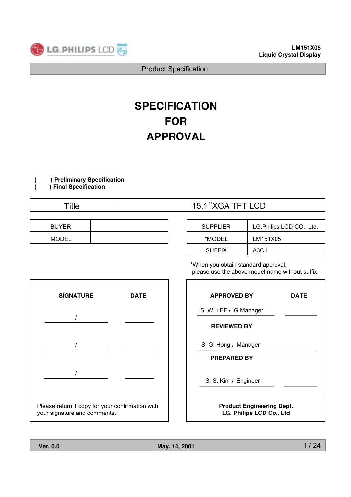

# **SPECIFICATION FOR APPROVAL**

**( ) Preliminary Specification**

**( ) Final Specification**

| <b>BUYER</b> |  |
|--------------|--|
| <b>MODEL</b> |  |

## Title 15.1" XGA TFT LCD

| <b>SUPPLIER</b> | LG. Philips LCD CO., Ltd. |
|-----------------|---------------------------|
| *MODEL          | LM151X05                  |
| <b>SUFFIX</b>   | A3C1                      |

\*When you obtain standard approval, please use the above model name without suffix



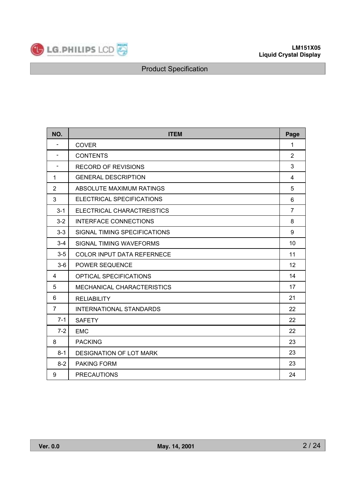

| NO.                      | <b>ITEM</b>                       | Page           |
|--------------------------|-----------------------------------|----------------|
| $\overline{\phantom{a}}$ | <b>COVER</b>                      | $\mathbf{1}$   |
| $\blacksquare$           | <b>CONTENTS</b>                   | $\overline{2}$ |
| $\blacksquare$           | <b>RECORD OF REVISIONS</b>        | 3              |
| $\mathbf{1}$             | <b>GENERAL DESCRIPTION</b>        | 4              |
| $\overline{2}$           | ABSOLUTE MAXIMUM RATINGS          | 5              |
| 3                        | ELECTRICAL SPECIFICATIONS         | 6              |
| $3 - 1$                  | ELECTRICAL CHARACTREISTICS        | $\overline{7}$ |
| $3 - 2$                  | <b>INTERFACE CONNECTIONS</b>      | 8              |
| $3 - 3$                  | SIGNAL TIMING SPECIFICATIONS      | 9              |
| $3 - 4$                  | SIGNAL TIMING WAVEFORMS           | 10             |
| $3-5$                    | <b>COLOR INPUT DATA REFERNECE</b> | 11             |
| $3-6$                    | <b>POWER SEQUENCE</b>             | 12             |
| 4                        | <b>OPTICAL SPECIFICATIONS</b>     | 14             |
| 5                        | <b>MECHANICAL CHARACTERISTICS</b> | 17             |
| 6                        | <b>RELIABILITY</b>                | 21             |
| $\overline{7}$           | <b>INTERNATIONAL STANDARDS</b>    | 22             |
| $7 - 1$                  | <b>SAFETY</b>                     | 22             |
| $7-2$                    | <b>EMC</b>                        | 22             |
| 8                        | <b>PACKING</b>                    | 23             |
| $8 - 1$                  | <b>DESIGNATION OF LOT MARK</b>    | 23             |
| $8 - 2$                  | <b>PAKING FORM</b>                | 23             |
| 9                        | <b>PRECAUTIONS</b>                | 24             |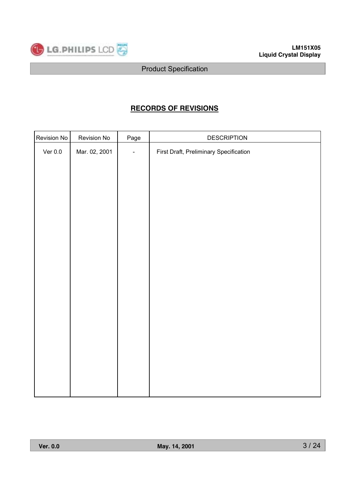

## **RECORDS OF REVISIONS**

| Revision No | Revision No   | Page                     | <b>DESCRIPTION</b>                     |
|-------------|---------------|--------------------------|----------------------------------------|
| Ver $0.0$   | Mar. 02, 2001 | $\overline{\phantom{a}}$ | First Draft, Preliminary Specification |
|             |               |                          |                                        |
|             |               |                          |                                        |
|             |               |                          |                                        |
|             |               |                          |                                        |
|             |               |                          |                                        |
|             |               |                          |                                        |
|             |               |                          |                                        |
|             |               |                          |                                        |
|             |               |                          |                                        |
|             |               |                          |                                        |
|             |               |                          |                                        |
|             |               |                          |                                        |
|             |               |                          |                                        |
|             |               |                          |                                        |
|             |               |                          |                                        |
|             |               |                          |                                        |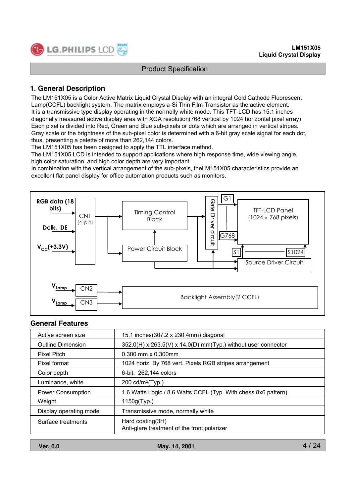

## **1. General Description**

The LM151X05 is a Color Active Matrix Liquid Crystal Display with an integral Cold Cathode Fluorescent Lamp(CCFL) backlight system. The matrix employs a-Si Thin Film Transistor as the active element. It is a transmissive type display operating in the normally white mode. This TFT-LCD has 15.1 inches diagonally measured active display area with XGA resolution(768 vertical by 1024 horizontal pixel array) Each pixel is divided into Red, Green and Blue sub-pixels or dots which are arranged in vertical stripes. Gray scale or the brightness of the sub-pixel color is determined with a 6-bit gray scale signal for each dot, thus, presenting a palette of more than 262,144 colors.

The LM151X05 has been designed to apply the TTL interface method.

The LM151X05 LCD is intended to support applications where high response time, wide viewing angle, high color saturation, and high color depth are very important.

In combination with the vertical arrangement of the sub-pixels, theLM151X05 characteristics provide an excellent flat panel display for office automation products such as monitors.



#### **General Features**

| Active screen size       | 15.1 inches(307.2 x 230.4mm) diagonal                           |
|--------------------------|-----------------------------------------------------------------|
| <b>Outline Dimension</b> | 352.0(H) x 263.5(V) x 14.0(D) mm(Typ.) without user connector   |
| Pixel Pitch              | 0.300 mm x 0.300mm                                              |
| Pixel format             | 1024 horiz. By 768 vert. Pixels RGB stripes arrangement         |
| Color depth              | 6-bit, 262,144 colors                                           |
| Luminance, white         | 200 cd/m <sup>2</sup> (Typ.)                                    |
| <b>Power Consumption</b> | 1.6 Watts Logic / 8.6 Watts CCFL (Typ. With chess 8x6 pattern)  |
| Weight                   | 1150g(Typ.)                                                     |
| Display operating mode   | Transmissive mode, normally white                               |
| Surface treatments       | Hard coating(3H)<br>Anti-glare treatment of the front polarizer |

**Ver. 0.0 May. 14, 2001**

4 / 24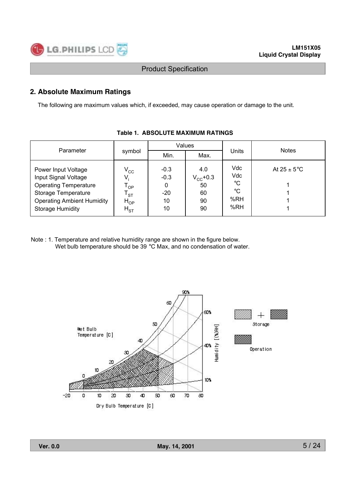

## **2. Absolute Maximum Ratings**

The following are maximum values which, if exceeded, may cause operation or damage to the unit.

|                                                                                                                                                                    |                                                                                      |                                            | Values                                           |                                      |                         |
|--------------------------------------------------------------------------------------------------------------------------------------------------------------------|--------------------------------------------------------------------------------------|--------------------------------------------|--------------------------------------------------|--------------------------------------|-------------------------|
| Parameter                                                                                                                                                          | symbol                                                                               | Min.                                       | Max.                                             | Units                                | <b>Notes</b>            |
| Power Input Voltage<br>Input Signal Voltage<br><b>Operating Temperature</b><br>Storage Temperature<br><b>Operating Ambient Humidity</b><br><b>Storage Humidity</b> | $V_{\rm CC}$<br>V,<br>$T_{OP}$<br>$\mathsf{T}_{\texttt{ST}}$<br>$H_{OP}$<br>$H_{ST}$ | $-0.3$<br>$-0.3$<br>0<br>$-20$<br>10<br>10 | 4.0<br>$V_{\rm CC}$ +0.3<br>50<br>60<br>90<br>90 | Vdc<br>Vdc<br>°C<br>°C<br>%RH<br>%RH | At $25 \pm 5^{\circ}$ C |

## **Table 1. ABSOLUTE MAXIMUM RATINGS**

Note : 1. Temperature and relative humidity range are shown in the figure below. Wet bulb temperature should be 39 °C Max, and no condensation of water.

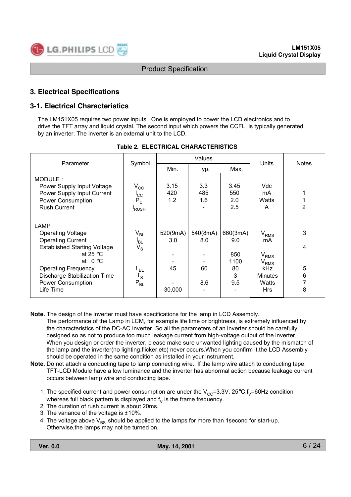

## **3. Electrical Specifications**

## **3-1. Electrical Characteristics**

The LM151X05 requires two power inputs. One is employed to power the LCD electronics and to drive the TFT array and liquid crystal. The second input which powers the CCFL, is typically generated by an inverter. The inverter is an external unit to the LCD.

| Parameter                                                                                                                                                                                                                                             |                                                                                                      |                                 | Values                       | Units                                            | <b>Notes</b>                                                                                          |                       |
|-------------------------------------------------------------------------------------------------------------------------------------------------------------------------------------------------------------------------------------------------------|------------------------------------------------------------------------------------------------------|---------------------------------|------------------------------|--------------------------------------------------|-------------------------------------------------------------------------------------------------------|-----------------------|
|                                                                                                                                                                                                                                                       | Symbol                                                                                               | Min.                            | Typ.                         |                                                  |                                                                                                       |                       |
| MODULE:<br>Power Supply Input Voltage<br>Power Supply Input Current<br><b>Power Consumption</b><br><b>Rush Current</b>                                                                                                                                | $V_{\rm CC}$<br>$I_{\rm CC}$<br>$P_C$<br><sup>I</sup> RUSH                                           | 3.15<br>420<br>1.2              | 3.3<br>485<br>1.6            | 3.45<br>550<br>2.0<br>2.5                        | Vdc<br>mA<br>Watts<br>A                                                                               | $\overline{2}$        |
| LAMP:<br><b>Operating Voltage</b><br><b>Operating Current</b><br><b>Established Starting Voltage</b><br>at 25 $^{\circ}$ C<br>at $0^{\circ}$ C<br><b>Operating Frequency</b><br><b>Discharge Stabilization Time</b><br>Power Consumption<br>Life Time | $V_{BL}$<br><sup>I</sup> BL<br>$V_{\rm S}$<br>f <sub>BL</sub><br>$\mathsf{T}_\mathsf{S}$<br>$P_{BL}$ | 520(9mA)<br>3.0<br>45<br>30,000 | 540(8mA)<br>8.0<br>60<br>8.6 | 660(3mA)<br>9.0<br>850<br>1100<br>80<br>3<br>9.5 | $\rm V_{RMS}$<br>mA<br>$\rm V_{RMS}$<br>$\rm V_{RMS}$<br>kHz<br><b>Minutes</b><br>Watts<br><b>Hrs</b> | 3<br>4<br>5<br>6<br>8 |

#### **Table 2. ELECTRICAL CHARACTERISTICS**

- **Note.** The design of the inverter must have specifications for the lamp in LCD Assembly. The performance of the Lamp in LCM, for example life time or brightness, is extremely influenced by the characteristics of the DC-AC Inverter. So all the parameters of an inverter should be carefully
	- designed so as not to produce too much leakage current from high-voltage output of the inverter. When you design or order the inverter, please make sure unwanted lighting caused by the mismatch of the lamp and the inverter(no lighting,flicker,etc) never occurs.When you confirm it,the LCD Assembly should be operated in the same condition as installed in your instrument.
- **Note.** Do not attach a conducting tape to lamp connecting wire.. If the lamp wire attach to conducting tape, TFT-LCD Module have a low luminance and the inverter has abnormal action because leakage current occurs between lamp wire and conducting tape.
	- 1. The specified current and power consumption are under the  $V_{CC}=3.3V$ , 25 $\degree$ C,f<sub>V</sub>=60Hz condition whereas full black pattern is displayed and  $f<sub>V</sub>$  is the frame frequency.
	- 2. The duration of rush current is about 20ms.
	- 3. The variance of the voltage is ±10%.
	- 4. The voltage above  $V_{BS}$  should be applied to the lamps for more than 1second for start-up. Otherwise,the lamps may not be turned on.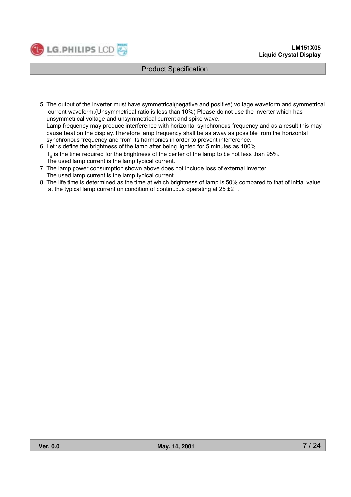

- 5. The output of the inverter must have symmetrical(negative and positive) voltage waveform and symmetrical current waveform.(Unsymmetrical ratio is less than 10%) Please do not use the inverter which has unsymmetrical voltage and unsymmetrical current and spike wave. Lamp frequency may produce interference with horizontal synchronous frequency and as a result this may cause beat on the display.Therefore lamp frequency shall be as away as possible from the horizontal synchronous frequency and from its harmonics in order to prevent interference.
- 6. Let's define the brightness of the lamp after being lighted for 5 minutes as 100%.  $T<sub>s</sub>$  is the time required for the brightness of the center of the lamp to be not less than 95%. The used lamp current is the lamp typical current.
- 7. The lamp power consumption shown above does not include loss of external inverter. The used lamp current is the lamp typical current.
- 8. The life time is determined as the time at which brightness of lamp is 50% compared to that of initial value at the typical lamp current on condition of continuous operating at  $25 \pm 2$ .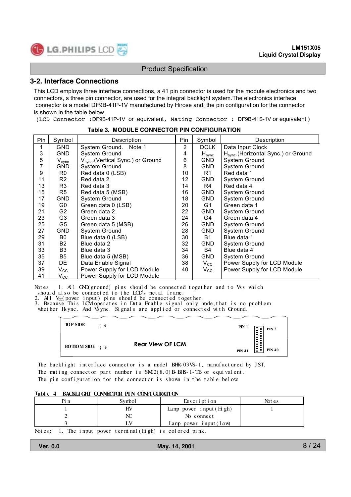

#### **3-2. Interface Connections**

This LCD employs three interface connections, a 41 pin connector is used for the module electronics and two connectors, s three pin connector, are used for the integral backlight system.The electronics interface connector is a model DF9B-41P-1V manufactured by Hirose and. the pin configuration for the connector is shown in the table below.

(LCD Connector :DF9B-41P-1V or equivalent, Mating Connector : DF9B-41S-1V or equivalent )

| Pin | Symbol           | Description                                    | Pin | Symbol               | Description                                      |
|-----|------------------|------------------------------------------------|-----|----------------------|--------------------------------------------------|
|     | <b>GND</b>       | System Ground. Note 1                          | 2   | DCLK                 | Data Input Clock                                 |
| 3   | <b>GND</b>       | System Ground                                  | 4   | ${\sf H}_{\sf sync}$ | H <sub>svnc</sub> . (Horizontal Sync.) or Ground |
| 5   | $V_{sync}$       | V <sub>svnc</sub> . (Vertical Sync.) or Ground | 6   | GND.                 | System Ground                                    |
|     | GND              | System Ground                                  | 8   | GND.                 | <b>System Ground</b>                             |
| 9   | R0               | Red data 0 (LSB)                               | 10  | R1                   | Red data 1                                       |
| 11  | R <sub>2</sub>   | Red data 2                                     | 12  | GND.                 | System Ground                                    |
| 13  | R <sub>3</sub>   | Red data 3                                     | 14  | R4                   | Red data 4                                       |
| 15  | R5               | Red data 5 (MSB)                               | 16  | GND.                 | <b>System Ground</b>                             |
| 17  | GND              | System Ground                                  | 18  | GND.                 | <b>System Ground</b>                             |
| 19  | G0               | Green data 0 (LSB)                             | 20  | G1                   | Green data 1                                     |
| 21  | G <sub>2</sub>   | Green data 2                                   | 22  | GND.                 | <b>System Ground</b>                             |
| 23  | G <sub>3</sub>   | Green data 3                                   | 24  | G4                   | Green data 4                                     |
| 25  | G5               | Green data 5 (MSB)                             | 26  | <b>GND</b>           | System Ground                                    |
| 27  | <b>GND</b>       | System Ground                                  | 28  | <b>GND</b>           | System Ground                                    |
| 29  | B0               | Blue data 0 (LSB)                              | 30  | <b>B1</b>            | Blue data 1                                      |
| 31  | <b>B2</b>        | Blue data 2                                    | 32  | <b>GND</b>           | System Ground                                    |
| 33  | B <sub>3</sub>   | Blue data 3                                    | 34  | B4                   | Blue data 4                                      |
| 35  | B <sub>5</sub>   | Blue data 5 (MSB)                              | 36  | GND.                 | <b>System Ground</b>                             |
| 37  | DE.              | Data Enable Signal                             | 38  | $V_{\rm CC}$         | Power Supply for LCD Module                      |
| 39  | $\rm V_{\rm CC}$ | Power Supply for LCD Module                    | 40  | $V_{\rm CC}$         | Power Supply for LCD Module                      |
| 41  | $V_{\rm CC}$     | Power Supply for LCD Module                    |     |                      |                                                  |

**Table 3. MODULE CONNECTOR PIN CONFIGURATION**

Notes: 1. All GND (ground) pins should be connected together and to Vss which should also be connected to the LCD's metal frame.

2. All  $V_{\text{CC}}$  (power input) pins should be connected together.

3. Because This LCM operates in Data Enable signal only mode, that is no problem

whet her Hs ync. And Vs ync. Signals are applied or connected with Ground.

|                 |     |                         |  |               | ,                    |
|-----------------|-----|-------------------------|--|---------------|----------------------|
| <b>TOP SIDE</b> | : è |                         |  | <b>PIN 1</b>  |                      |
|                 |     |                         |  |               | PN <sub>2</sub><br>F |
|                 |     |                         |  |               | Ð<br>e               |
|                 |     | <b>Rear View OF LCM</b> |  |               | $\blacksquare$       |
|                 |     |                         |  | <b>PIN 41</b> | <b>PIN 40</b>        |
|                 |     |                         |  |               |                      |

The backlight interface connector is a model BHR-03VS-1, manufactured by JST. The mating connect or part number is  $SM2(8.0)B-BFS-1-TB$  or equivalent. The pin configuration for the connector is shown in the table below.

#### T**abl e 4 BACKLI GHT CONNECTOR PI N CONFI GURATI ON**

| Svmbol | Description                 | Not es |
|--------|-----------------------------|--------|
| HV     | Lamp power $i$ nput $(Hgh)$ |        |
| NC     | No connect                  |        |
|        | Lamp power $i$ nput (Low)   |        |

Not es: 1. The input power terminal  $(H_1 gh)$  is colored pink.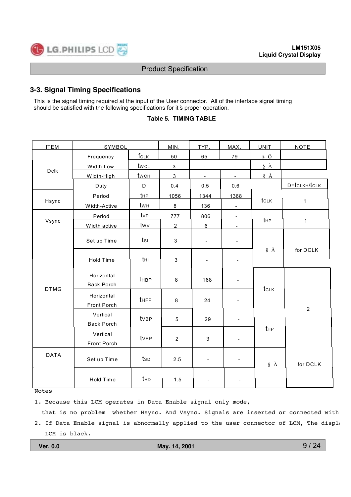

## **3-3. Signal Timing Specifications**

This is the signal timing required at the input of the User connector. All of the interface signal timing should be satisfied with the following specifications for it 's proper operation.

#### **Table 5. TIMING TABLE**

|                                                                     | SYMBOL                          |                  | MIN.           | TYP.                     | MAX.                     | <b>UNIT</b>     | <b>NOTE</b>    |  |
|---------------------------------------------------------------------|---------------------------------|------------------|----------------|--------------------------|--------------------------|-----------------|----------------|--|
|                                                                     | Frequency                       | $f_{CLK}$        | 50             | 65                       | 79                       | § Ö             |                |  |
|                                                                     | Width-Low                       | twcL             | $\mathbf{3}$   | $\blacksquare$           | $\blacksquare$           | § À             |                |  |
| <b>ITEM</b><br>Dclk<br>Hsync<br>Vsync<br><b>DTMG</b><br><b>DATA</b> | Width-High                      | twch             | 3              | $\blacksquare$           | $\blacksquare$           | $\S$ $\AA$      |                |  |
|                                                                     | Duty                            | D                | 0.4            | $0.5\,$                  | 0.6                      |                 | D=tCLKH/tCLK   |  |
|                                                                     | Period                          | t <sub>HP</sub>  | 1056           | 1344                     | 1368                     |                 |                |  |
|                                                                     | Width-Active                    | twн              | $\,8\,$        | 136                      | $\blacksquare$           | tclk            | $\mathbf{1}$   |  |
|                                                                     | Period                          | tvp              | 777            | 806                      | $\blacksquare$           |                 |                |  |
|                                                                     | Width active                    | twv              | $\overline{c}$ | 6                        | $\overline{\phantom{a}}$ | t <sub>HP</sub> | $\mathbf{1}$   |  |
|                                                                     | Set up Time                     | $t_{\text{SI}}$  | 3              | $\blacksquare$           | $\blacksquare$           |                 |                |  |
|                                                                     | Hold Time                       | tнı              | 3              | $\blacksquare$           | $\frac{1}{2}$            | $\S$ $\AA$      | for DCLK       |  |
|                                                                     | Horizontal<br><b>Back Porch</b> | t <sub>HBP</sub> | 8              | 168                      | $\blacksquare$           | tclk            |                |  |
|                                                                     | Horizontal<br>Front Porch       | tHFP             | 8              | 24                       | $\blacksquare$           |                 | $\overline{2}$ |  |
|                                                                     | Vertical<br><b>Back Porch</b>   | tvBP             | 5              | 29                       |                          |                 |                |  |
|                                                                     | Vertical<br>Front Porch         | tvFP             | $\overline{2}$ | 3                        |                          | t <sub>HP</sub> |                |  |
|                                                                     | Set up Time                     | tsp              | 2.5            | $\blacksquare$           | ۰                        | § À             | for DCLK       |  |
|                                                                     | Hold Time                       | t <sub>HD</sub>  | 1.5            | $\overline{\phantom{a}}$ | $\overline{a}$           |                 |                |  |

Notes

1. Because this LCM operates in Data Enable signal only mode,

that is no problem whether Hsync. And Vsync. Signals are inserted or connected with

9 / 24

<sup>2.</sup> If Data Enable signal is abnormally applied to the user connector of LCM, The displa LCM is black.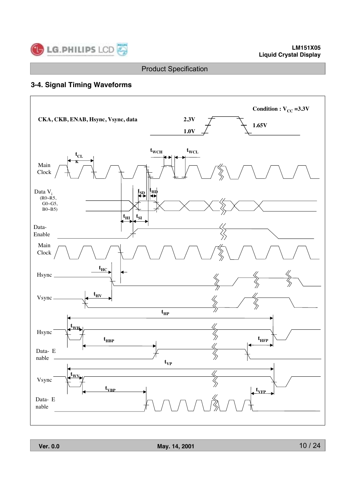

## **3-4. Signal Timing Waveforms**

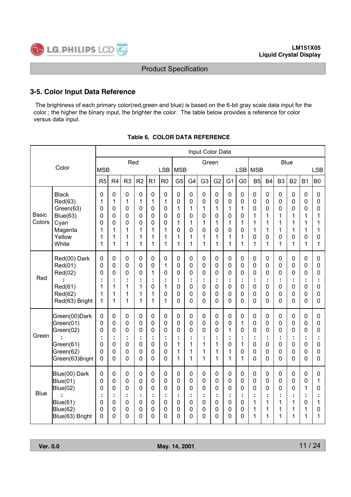

## **3-5. Color Input Data Reference**

 The brightness of each primary color(red,green and blue) is based on the 6-bit gray scale data input for the color ; the higher the binary input, the brighter the color. The table below provides a reference for color versus data input.

|                        |                                                                                               |                                      |                                      |                                                            |                                        |                                                          |                                      |                                        |                                                 | Input Color Data                     |                                                |                                                           |                                           |                                                       |                                      |                                      |                                                |                                         |                                                             |
|------------------------|-----------------------------------------------------------------------------------------------|--------------------------------------|--------------------------------------|------------------------------------------------------------|----------------------------------------|----------------------------------------------------------|--------------------------------------|----------------------------------------|-------------------------------------------------|--------------------------------------|------------------------------------------------|-----------------------------------------------------------|-------------------------------------------|-------------------------------------------------------|--------------------------------------|--------------------------------------|------------------------------------------------|-----------------------------------------|-------------------------------------------------------------|
|                        | Color                                                                                         | <b>MSB</b>                           |                                      | Red                                                        |                                        |                                                          | <b>LSB</b>                           | <b>MSB</b>                             |                                                 | Green                                |                                                |                                                           | <b>LSB</b>                                | <b>MSB</b>                                            |                                      | Blue                                 |                                                |                                         | <b>LSB</b>                                                  |
|                        |                                                                                               | R5                                   | R <sub>4</sub>                       | R <sub>3</sub>                                             | R <sub>2</sub>                         | R <sub>1</sub>                                           | R <sub>0</sub>                       | G <sub>5</sub>                         | G <sub>4</sub>                                  | G <sub>3</sub>                       | G <sub>2</sub>                                 | G <sub>1</sub>                                            | G <sub>0</sub>                            | B5                                                    | <b>B4</b>                            | B <sub>3</sub>                       | <b>B2</b>                                      | <b>B1</b>                               | B <sub>0</sub>                                              |
| <b>Basic</b><br>Colors | <b>Black</b><br>Red(63)<br>Green(63)<br><b>Blue(63)</b><br>Cyan<br>Magenta<br>Yellow<br>White | 0<br>1<br>0<br>0<br>0<br>1<br>1<br>1 | 0<br>1<br>0<br>0<br>0<br>1<br>1<br>1 | $\mathbf 0$<br>1<br>$\mathbf 0$<br>0<br>0<br>1<br>1<br>1   | 0<br>1<br>0<br>0<br>0<br>1<br>1<br>1   | 0<br>1<br>$\mathbf 0$<br>0<br>$\mathbf 0$<br>1<br>1<br>1 | 0<br>1<br>0<br>0<br>0<br>1<br>1<br>1 | 0<br>0<br>1<br>0<br>1<br>0<br>1<br>1   | 0<br>0<br>$\mathbf{1}$<br>0<br>1<br>0<br>1<br>1 | 0<br>0<br>1<br>0<br>1<br>0<br>1<br>1 | $\mathbf 0$<br>0<br>1<br>0<br>1<br>0<br>1<br>1 | $\mathbf 0$<br>0<br>$\mathbf{1}$<br>0<br>1<br>0<br>1<br>1 | 0<br>0<br>1<br>0<br>1<br>0<br>1<br>1      | $\mathbf 0$<br>0<br>0<br>1<br>1<br>1<br>0<br>1        | 0<br>0<br>0<br>1<br>1<br>1<br>0<br>1 | 0<br>0<br>0<br>1<br>1<br>1<br>0<br>1 | $\mathbf 0$<br>0<br>0<br>1<br>1<br>1<br>0<br>1 | 0<br>0<br>0<br>1<br>1<br>1<br>0<br>1    | $\mathbf 0$<br>$\mathbf 0$<br>0<br>1<br>1<br>1<br>0<br>1    |
| Red                    | Red(00) Dark<br>Red(01)<br>Red(02)<br>Red(61)<br>Red(62)<br>Red(63) Bright                    | 0<br>0<br>0<br>÷<br>1<br>1<br>1      | 0<br>0<br>0<br>1<br>1<br>1           | $\mathbf 0$<br>$\mathbf 0$<br>0<br>÷<br>1<br>1<br>1        | 0<br>0<br>0<br>t<br>1<br>1<br>1        | 0<br>0<br>1<br>÷<br>0<br>1<br>1                          | 0<br>1<br>0<br>÷<br>1<br>0<br>1      | 0<br>0<br>0<br>÷<br>0<br>0<br>0        | 0<br>0<br>0<br>t<br>0<br>0<br>0                 | 0<br>0<br>0<br>÷<br>0<br>0<br>0      | $\mathbf 0$<br>0<br>0<br>÷<br>0<br>0<br>0      | 0<br>0<br>0<br>÷<br>0<br>0<br>0                           | $\mathbf 0$<br>0<br>0<br>÷<br>0<br>0<br>0 | 0<br>$\mathbf 0$<br>0<br>÷<br>0<br>0<br>0             | 0<br>0<br>0<br>÷<br>0<br>0<br>0      | 0<br>0<br>0<br>t<br>0<br>0<br>0      | 0<br>0<br>0<br>t<br>0<br>0<br>$\overline{0}$   | 0<br>0<br>0<br>÷<br>0<br>0<br>0         | $\pmb{0}$<br>$\mathbf 0$<br>0<br>÷<br>$\mathbf 0$<br>0<br>0 |
| Green                  | Green(00)Dark<br>Green(01)<br>Green(02)<br>ċ<br>Green(61)<br>Green(62)<br>Green(63)Bright     | 0<br>0<br>0<br>÷<br>0<br>0<br>0      | 0<br>0<br>0<br>÷<br>0<br>0<br>0      | $\mathbf 0$<br>$\mathbf 0$<br>0<br>÷<br>0<br>0<br>0        | 0<br>0<br>0<br>÷<br>0<br>0<br>0        | $\pmb{0}$<br>$\mathbf 0$<br>0<br>÷<br>0<br>0<br>0        | 0<br>0<br>0<br>÷<br>0<br>0<br>0      | 0<br>0<br>0<br>t<br>1<br>1<br>1        | $\pmb{0}$<br>0<br>0<br>÷<br>1<br>1<br>1         | 0<br>0<br>0<br>÷<br>1<br>1<br>1      | $\pmb{0}$<br>0<br>0<br>÷<br>1<br>1<br>1        | 0<br>0<br>1<br>÷<br>0<br>1<br>1                           | 0<br>1<br>0<br>÷<br>1<br>0<br>1           | $\boldsymbol{0}$<br>0<br>0<br>÷<br>0<br>0<br>$\Omega$ | 0<br>0<br>0<br>÷<br>0<br>0<br>0      | 0<br>0<br>0<br>÷<br>0<br>0<br>0      | $\pmb{0}$<br>0<br>0<br>÷<br>0<br>0<br>0        | $\pmb{0}$<br>0<br>0<br>÷<br>0<br>0<br>0 | $\pmb{0}$<br>0<br>0<br>÷<br>$\mathbf 0$<br>0<br>0           |
| <b>Blue</b>            | Blue(00) Dark<br>Blue(01)<br>Blue(02)<br>Blue(61)<br>Blue(62)<br>Blue(63) Bright              | 0<br>0<br>0<br>÷<br>0<br>0<br>0      | 0<br>0<br>0<br>0<br>0<br>0           | $\mathbf 0$<br>$\mathbf 0$<br>0<br>÷<br>0<br>0<br>$\Omega$ | 0<br>0<br>0<br>t<br>0<br>0<br>$\Omega$ | 0<br>0<br>0<br>÷<br>0<br>0<br>0                          | 0<br>0<br>0<br>÷<br>0<br>0<br>0      | 0<br>0<br>0<br>÷<br>0<br>0<br>$\Omega$ | 0<br>0<br>0<br>÷<br>0<br>0<br>0                 | 0<br>0<br>0<br>÷<br>0<br>0<br>0      | 0<br>0<br>0<br>÷<br>0<br>0<br>0                | 0<br>0<br>0<br>÷<br>0<br>0<br>$\Omega$                    | 0<br>0<br>0<br>÷<br>0<br>0<br>0           | 0<br>0<br>0<br>÷<br>1<br>1<br>1                       | 0<br>0<br>0<br>÷<br>1<br>1<br>1      | 0<br>0<br>0<br>÷<br>1<br>1<br>1      | 0<br>0<br>0<br>t<br>1<br>1<br>1                | 0<br>0<br>1<br>÷<br>0<br>1<br>1         | 0<br>1<br>0<br>t<br>1<br>0<br>1                             |

## **Table 6. COLOR DATA REFERENCE**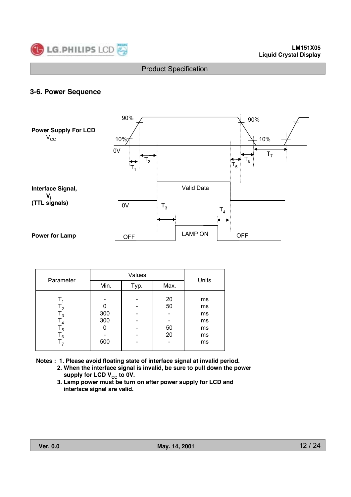

## **3-6. Power Sequence**



| Parameter                                      |                        | Units |                      |                                        |  |
|------------------------------------------------|------------------------|-------|----------------------|----------------------------------------|--|
|                                                | Min.                   | Typ.  | Max.                 |                                        |  |
| $\mathsf{I}_3$<br>$\mathsf{I}_4$<br>5 ا<br>ه ا | 300<br>300<br>ი<br>500 |       | 20<br>50<br>50<br>20 | ms<br>ms<br>ms<br>ms<br>ms<br>ms<br>ms |  |

**Notes : 1. Please avoid floating state of interface signal at invalid period.**

- **2. When the interface signal is invalid, be sure to pull down the power**  supply for LCD V<sub>CC</sub> to 0V.
- **3. Lamp power must be turn on after power supply for LCD and interface signal are valid.**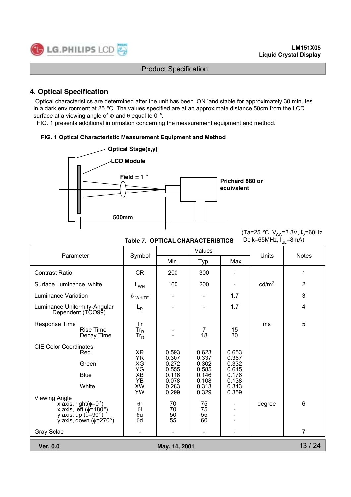

## **4. Optical Specification**

 Optical characteristics are determined after the unit has been 'ON ' and stable for approximately 30 minutes in a dark environment at 25 °C. The values specified are at an approximate distance 50cm from the LCD surface at a viewing angle of  $\Phi$  and  $\theta$  equal to 0 °.

FIG. 1 presents additional information concerning the measurement equipment and method.

#### **FIG. 1 Optical Characteristic Measurement Equipment and Method**



**Table 7. OPTICAL CHARACTERISTICS**

(Ta=25 °C, V<sub>CC</sub>=3.3V, f<sub>V</sub>=60Hz Dclk=65MHz,  $I_{BL}$ =8mA)

| Parameter                                                                                                                                                                                    |                                                                                                    |                                                                                        | Values                                                                                 |                                                                      | Units             | <b>Notes</b>   |
|----------------------------------------------------------------------------------------------------------------------------------------------------------------------------------------------|----------------------------------------------------------------------------------------------------|----------------------------------------------------------------------------------------|----------------------------------------------------------------------------------------|----------------------------------------------------------------------|-------------------|----------------|
|                                                                                                                                                                                              | Symbol                                                                                             | Min.                                                                                   | Typ.                                                                                   | Max.                                                                 |                   |                |
| <b>Contrast Ratio</b>                                                                                                                                                                        | <b>CR</b>                                                                                          | 200                                                                                    | 300                                                                                    |                                                                      |                   | 1              |
| Surface Luminance, white                                                                                                                                                                     | $L_{WH}$                                                                                           | 160                                                                                    | 200                                                                                    |                                                                      | cd/m <sup>2</sup> | $\overline{2}$ |
| Luminance Variation                                                                                                                                                                          | $\delta$ white                                                                                     |                                                                                        |                                                                                        | 1.7                                                                  |                   | 3              |
| Luminance Uniformity-Angular<br>Dependent (TCO99)                                                                                                                                            | $L_R$                                                                                              |                                                                                        |                                                                                        | 1.7                                                                  |                   | 4              |
| Response Time<br><b>Rise Time</b><br>Decay Time                                                                                                                                              | <b>Tr</b><br>$\frac{\text{Tr}_{\text{R}}}{\text{Tr}_{\text{D}}}$                                   |                                                                                        | $\overline{7}$<br>18                                                                   | 15<br>30                                                             | ms                | 5              |
| <b>CIE Color Coordinates</b><br>Red<br>Green<br><b>Blue</b><br>White<br><b>Viewing Angle</b><br>x axis, right( $\phi$ =0°)<br>x axis, left ( $\phi$ =180°)<br>y axis, up $(\phi = 90^\circ)$ | ΧR<br><b>YR</b><br>XG<br>YG<br>XB<br>YB<br>XW<br><b>YW</b><br>$\theta$ r<br>$\theta$<br>$\theta$ u | 0.593<br>0.307<br>0.272<br>0.555<br>0.116<br>0.078<br>0.283<br>0.299<br>70<br>70<br>50 | 0.623<br>0.337<br>0.302<br>0.585<br>0.146<br>0.108<br>0.313<br>0.329<br>75<br>75<br>55 | 0.653<br>0.367<br>0.332<br>0.615<br>0.176<br>0.138<br>0.343<br>0.359 | degree            | 6              |
| y axis, down $(\phi = 270^{\circ})$<br>Gray Sclae                                                                                                                                            | $\theta$ d<br>$\overline{\phantom{a}}$                                                             | 55                                                                                     | 60                                                                                     |                                                                      |                   | 7              |
| <b>Ver. 0.0</b>                                                                                                                                                                              |                                                                                                    | May. 14, 2001                                                                          |                                                                                        |                                                                      |                   | 13/24          |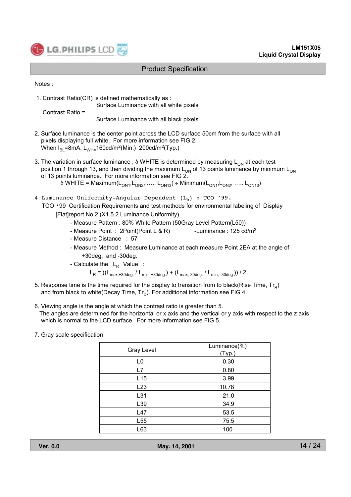

Notes :

 1. Contrast Ratio(CR) is defined mathematically as : Surface Luminance with all white pixels Contrast Ratio =

Surface Luminance with all black pixels

- 2. Surface luminance is the center point across the LCD surface 50cm from the surface with all pixels displaying full white. For more information see FIG 2. When  $I_{BL}$ =8mA,  $L_{WH=}$ 160cd/m<sup>2</sup>(Min.) 200cd/m<sup>2</sup>(Typ.)
- 3. The variation in surface luminance,  $\delta$  WHITE is determined by measuring  $L_{ON}$  at each test position 1 through 13, and then dividing the maximum  $L_{ON}$  of 13 points luminance by minimum  $L_{ON}$ of 13 points luminance. For more information see FIG 2.

 $\delta$  WHITE = Maximum(L<sub>ON1</sub>, L<sub>ON2</sub>, ….. L<sub>ON13</sub>) ÷ Minimum(L<sub>ON1</sub>, L<sub>ON2</sub>, ….. L<sub>ON13</sub>)

- 4 Luminance Uniformity-Angular Dependent  $(L_R)$  : TCO '99.
	- TCO '99 Certification Requirements and test methods for environmental labeling of Display
		- [Flat]report No.2 (X1.5.2 Luminance Uniformity)
			- Measure Pattern : 80% White Pattern (50Gray Level Pattern(L50))
			- Measure Point : 2Point(Point L & R) -Luminance : 125 cd/m<sup>2</sup>
			- Measure Distance : 57
			- Measure Method : Measure Luminance at each measure Point 2EA at the angle of +30deg. and -30deg.
			- Calculate the  $L_R$  Value :

 $L_R = ((L_{\text{max},+30 \text{deg.}} / L_{\text{min},+30 \text{deg.}}) + (L_{\text{max},-30 \text{deg.}} / L_{\text{min},-30 \text{deg.}})) / 2$ 

- 5. Response time is the time required for the display to transition from to black(Rise Time,  $Tr_R$ ) and from black to white(Decay Time,  $Tr_D$ ). For additional information see FIG 4.
- 6. Viewing angle is the angle at which the contrast ratio is greater than 5. The angles are determined for the horizontal or x axis and the vertical or y axis with respect to the z axis which is normal to the LCD surface. For more information see FIG 5.
- 7. Gray scale specification

| <b>Gray Level</b> | Luminance(%)<br>(Typ.) |  |  |  |  |
|-------------------|------------------------|--|--|--|--|
| L <sub>0</sub>    | 0.30                   |  |  |  |  |
| L7                | 0.80                   |  |  |  |  |
| L15               | 3.99                   |  |  |  |  |
| L23               | 10.78                  |  |  |  |  |
| L31               | 21.0                   |  |  |  |  |
| L39               | 34.9                   |  |  |  |  |
| L47               | 53.5                   |  |  |  |  |
| L <sub>55</sub>   | 75.5                   |  |  |  |  |
| L63               | 100                    |  |  |  |  |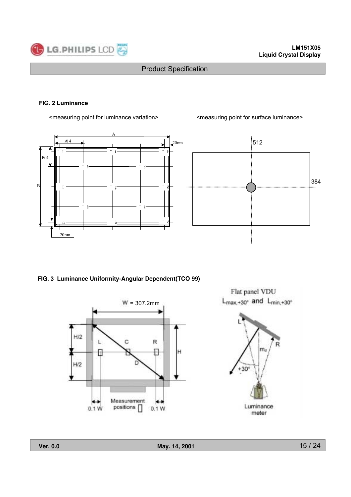

#### **FIG. 2 Luminance**

<measuring point for luminance variation> <measuring point for surface luminance>



**FIG. 3 Luminance Uniformity-Angular Dependent(TCO 99)**



Flat panel VDU  $L_{\text{max},+30^{\circ}}$  and  $L_{\text{min},+30^{\circ}}$ 

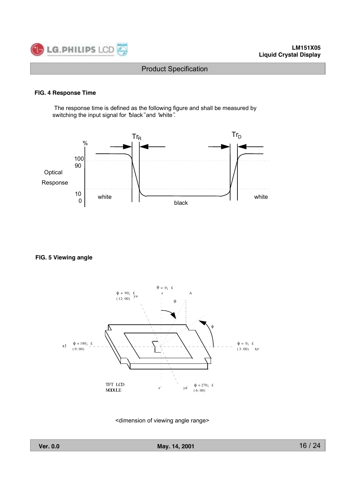

#### **FIG. 4 Response Time**

 The response time is defined as the following figure and shall be measured by switching the input signal for 'black" and 'white".



**FIG. 5 Viewing angle**



<dimension of viewing angle range>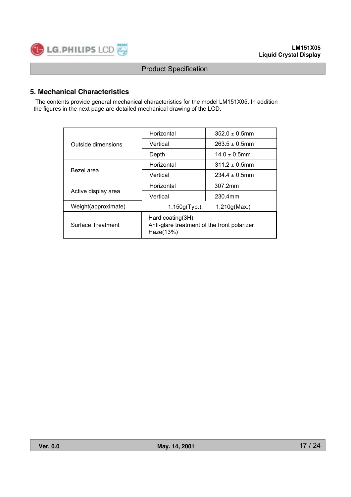

## **5. Mechanical Characteristics**

 The contents provide general mechanical characteristics for the model LM151X05. In addition the figures in the next page are detailed mechanical drawing of the LCD.

|                          | Horizontal                                                                      | $352.0 \pm 0.5$ mm |  |  |
|--------------------------|---------------------------------------------------------------------------------|--------------------|--|--|
| Outside dimensions       | Vertical                                                                        | $263.5 \pm 0.5$ mm |  |  |
|                          | Depth                                                                           | $14.0 \pm 0.5$ mm  |  |  |
|                          | Horizontal                                                                      | $311.2 \pm 0.5$ mm |  |  |
| Bezel area               | Vertical                                                                        | $234.4 \pm 0.5$ mm |  |  |
|                          | Horizontal                                                                      | 307.2mm            |  |  |
| Active display area      | Vertical                                                                        | 230.4mm            |  |  |
| Weight(approximate)      | 1,150g(Typ.),                                                                   | 1,210q(Max.)       |  |  |
| <b>Surface Treatment</b> | Hard coating $(3H)$<br>Anti-glare treatment of the front polarizer<br>Haze(13%) |                    |  |  |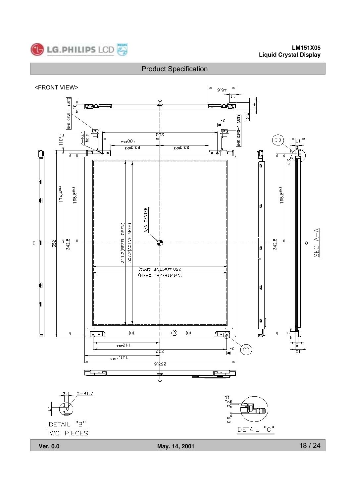

#### **LM151X05 Liquid Crystal Display**

## Product Specification

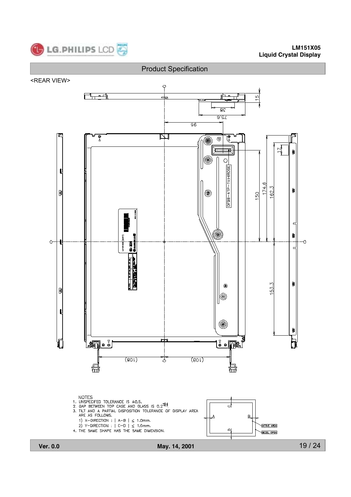

#### **LM151X05 Liquid Crystal Display**



19 / 24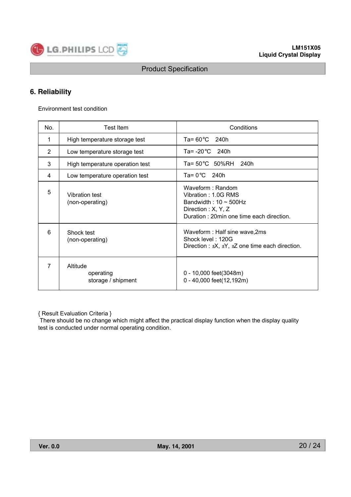

## **6. Reliability**

Environment test condition

| No.            | <b>Test Item</b>                            | Conditions                                                                                                                                |  |  |  |
|----------------|---------------------------------------------|-------------------------------------------------------------------------------------------------------------------------------------------|--|--|--|
| 1              | High temperature storage test               | Ta= $60^{\circ}$ C 240h                                                                                                                   |  |  |  |
| $\overline{2}$ | Low temperature storage test                | Ta= $-20^{\circ}$ C 240h                                                                                                                  |  |  |  |
| 3              | High temperature operation test             | Ta= 50 °C 50%RH<br>240h                                                                                                                   |  |  |  |
| 4              | Low temperature operation test              | Ta= $0^{\circ}$ C 240h                                                                                                                    |  |  |  |
| 5              | <b>Vibration test</b><br>(non-operating)    | Waveform: Random<br>Vibration: 1.0G RMS<br>Bandwidth: $10 \sim 500$ Hz<br>Direction : X, Y, Z<br>Duration: 20min one time each direction. |  |  |  |
| 6              | Shock test<br>(non-operating)               | Waveform: Half sine wave, 2ms<br>Shock level: 120G<br>Direction : $\pm X$ , $\pm Y$ , $\pm Z$ one time each direction.                    |  |  |  |
| 7              | Altitude<br>operating<br>storage / shipment | 0 - 10,000 feet(3048m)<br>0 - 40,000 feet(12,192m)                                                                                        |  |  |  |

{ Result Evaluation Criteria }

 There should be no change which might affect the practical display function when the display quality test is conducted under normal operating condition.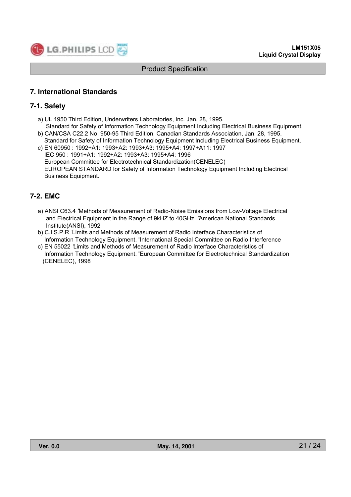

## **7. International Standards**

## **7-1. Safety**

- a) UL 1950 Third Edition, Underwriters Laboratories, Inc. Jan. 28, 1995.
- Standard for Safety of Information Technology Equipment Including Electrical Business Equipment. b) CAN/CSA C22.2 No. 950-95 Third Edition, Canadian Standards Association, Jan. 28, 1995.
- Standard for Safety of Information Technology Equipment Including Electrical Business Equipment. c) EN 60950 : 1992+A1: 1993+A2: 1993+A3: 1995+A4: 1997+A11: 1997 IEC 950 : 1991+A1: 1992+A2: 1993+A3: 1995+A4: 1996 European Committee for Electrotechnical Standardization(CENELEC) EUROPEAN STANDARD for Safety of Information Technology Equipment Including Electrical Business Equipment.

## **7-2. EMC**

- a) ANSI C63.4 "Methods of Measurement of Radio-Noise Emissions from Low-Voltage Electrical and Electrical Equipment in the Range of 9kHZ to 40GHz. "American National Standards Institute(ANSI), 1992
- b) C.I.S.P.R "Limits and Methods of Measurement of Radio Interface Characteristics of Information Technology Equipment." International Special Committee on Radio Interference
- c) EN 55022 "Limits and Methods of Measurement of Radio Interface Characteristics of Information Technology Equipment." European Committee for Electrotechnical Standardization (CENELEC), 1998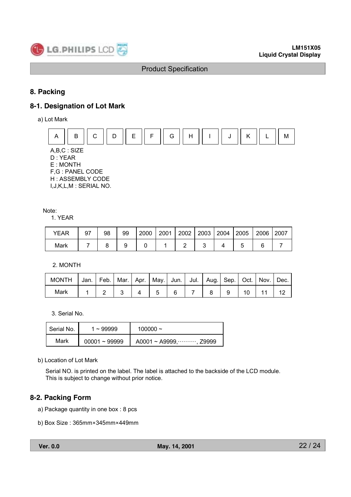

## **8. Packing**

## **8-1. Designation of Lot Mark**

a) Lot Mark



#### Note:

1. YEAR

| YEAR | а7 | 98 | 99 | 2000 | 2001 | 2002 | 2003 | 2004 | 2005 | 2006 | 2007 |
|------|----|----|----|------|------|------|------|------|------|------|------|
| Mark |    |    |    |      |      |      |      |      |      |      |      |

2. MONTH

| <b>MONTH</b> | Jan. |  | Feb.   Mar.   Apr.   May.   Jun.   Jul.   Aug.   Sep.   Oct.   Nov. |  |  |  | Dec. |
|--------------|------|--|---------------------------------------------------------------------|--|--|--|------|
| Mark         |      |  |                                                                     |  |  |  |      |

3. Serial No.

| Serial No. | $1 - 99999$     | 100000 $\sim$                   |
|------------|-----------------|---------------------------------|
| Mark       | $00001 - 99999$ | A0001 ~ A9999, $\cdots$ , Z9999 |

b) Location of Lot Mark

Serial NO. is printed on the label. The label is attached to the backside of the LCD module. This is subject to change without prior notice.

## **8-2. Packing Form**

- a) Package quantity in one box : 8 pcs
- b) Box Size : 365mm×345mm×449mm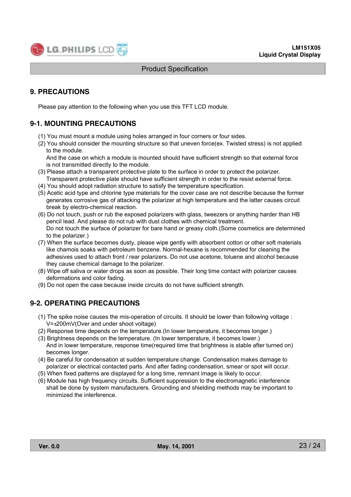

## **9. PRECAUTIONS**

Please pay attention to the following when you use this TFT LCD module.

## **9-1. MOUNTING PRECAUTIONS**

- (1) You must mount a module using holes arranged in four corners or four sides.
- (2) You should consider the mounting structure so that uneven force(ex. Twisted stress) is not applied to the module.

 And the case on which a module is mounted should have sufficient strength so that external force is not transmitted directly to the module.

- (3) Please attach a transparent protective plate to the surface in order to protect the polarizer. Transparent protective plate should have sufficient strength in order to the resist external force.
- (4) You should adopt radiation structure to satisfy the temperature specification.
- (5) Acetic acid type and chlorine type materials for the cover case are not describe because the former generates corrosive gas of attacking the polarizer at high temperature and the latter causes circuit break by electro-chemical reaction.
- (6) Do not touch, push or rub the exposed polarizers with glass, tweezers or anything harder than HB pencil lead. And please do not rub with dust clothes with chemical treatment. Do not touch the surface of polarizer for bare hand or greasy cloth.(Some cosmetics are determined to the polarizer.)
- (7) When the surface becomes dusty, please wipe gently with absorbent cotton or other soft materials like chamois soaks with petroleum benzene. Normal-hexane is recommended for cleaning the adhesives used to attach front / rear polarizers. Do not use acetone, toluene and alcohol because they cause chemical damage to the polarizer.
- (8) Wipe off saliva or water drops as soon as possible. Their long time contact with polarizer causes deformations and color fading.
- (9) Do not open the case because inside circuits do not have sufficient strength.

## **9-2. OPERATING PRECAUTIONS**

- (1) The spike noise causes the mis-operation of circuits. It should be lower than following voltage : V=±200mV(Over and under shoot voltage)
- (2) Response time depends on the temperature.(In lower temperature, it becomes longer.)
- (3) Brightness depends on the temperature. (In lower temperature, it becomes lower.) And in lower temperature, response time(required time that brightness is stable after turned on) becomes longer.
- (4) Be careful for condensation at sudden temperature change. Condensation makes damage to polarizer or electrical contacted parts. And after fading condensation, smear or spot will occur.
- (5) When fixed patterns are displayed for a long time, remnant image is likely to occur.
- (6) Module has high frequency circuits. Sufficient suppression to the electromagnetic interference shall be done by system manufacturers. Grounding and shielding methods may be important to minimized the interference.